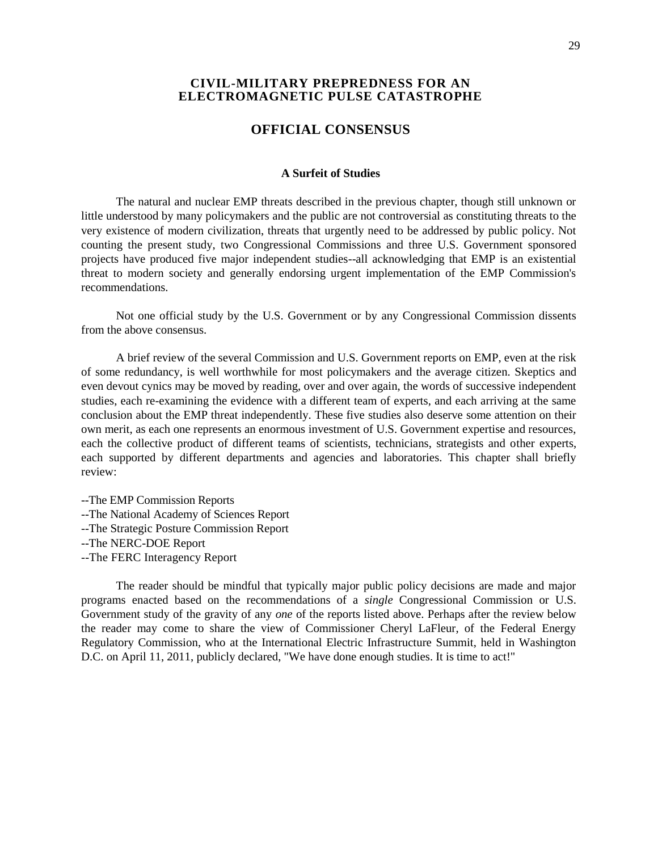# **CIVIL-MILITARY PREPREDNESS FOR AN ELECTROMAGNETIC PULSE CATASTROPHE**

# **OFFICIAL CONSENSUS**

#### **A Surfeit of Studies**

The natural and nuclear EMP threats described in the previous chapter, though still unknown or little understood by many policymakers and the public are not controversial as constituting threats to the very existence of modern civilization, threats that urgently need to be addressed by public policy. Not counting the present study, two Congressional Commissions and three U.S. Government sponsored projects have produced five major independent studies--all acknowledging that EMP is an existential threat to modern society and generally endorsing urgent implementation of the EMP Commission's recommendations.

Not one official study by the U.S. Government or by any Congressional Commission dissents from the above consensus.

A brief review of the several Commission and U.S. Government reports on EMP, even at the risk of some redundancy, is well worthwhile for most policymakers and the average citizen. Skeptics and even devout cynics may be moved by reading, over and over again, the words of successive independent studies, each re-examining the evidence with a different team of experts, and each arriving at the same conclusion about the EMP threat independently. These five studies also deserve some attention on their own merit, as each one represents an enormous investment of U.S. Government expertise and resources, each the collective product of different teams of scientists, technicians, strategists and other experts, each supported by different departments and agencies and laboratories. This chapter shall briefly review:

--The EMP Commission Reports

- --The National Academy of Sciences Report
- --The Strategic Posture Commission Report
- --The NERC-DOE Report
- --The FERC Interagency Report

The reader should be mindful that typically major public policy decisions are made and major programs enacted based on the recommendations of a *single* Congressional Commission or U.S. Government study of the gravity of any *one* of the reports listed above. Perhaps after the review below the reader may come to share the view of Commissioner Cheryl LaFleur, of the Federal Energy Regulatory Commission, who at the International Electric Infrastructure Summit, held in Washington D.C. on April 11, 2011, publicly declared, "We have done enough studies. It is time to act!"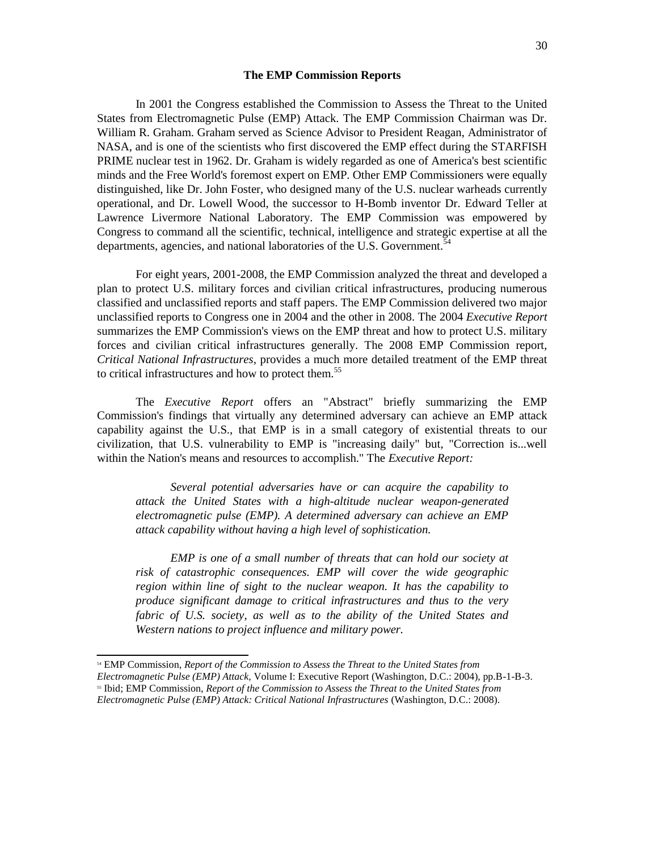#### **The EMP Commission Reports**

In 2001 the Congress established the Commission to Assess the Threat to the United States from Electromagnetic Pulse (EMP) Attack. The EMP Commission Chairman was Dr. William R. Graham. Graham served as Science Advisor to President Reagan, Administrator of NASA, and is one of the scientists who first discovered the EMP effect during the STARFISH PRIME nuclear test in 1962. Dr. Graham is widely regarded as one of America's best scientific minds and the Free World's foremost expert on EMP. Other EMP Commissioners were equally distinguished, like Dr. John Foster, who designed many of the U.S. nuclear warheads currently operational, and Dr. Lowell Wood, the successor to H-Bomb inventor Dr. Edward Teller at Lawrence Livermore National Laboratory. The EMP Commission was empowered by Congress to command all the scientific, technical, intelligence and strategic expertise at all the departments, agencies, and national laboratories of the U.S. Government.<sup>54</sup>

For eight years, 2001-2008, the EMP Commission analyzed the threat and developed a plan to protect U.S. military forces and civilian critical infrastructures, producing numerous classified and unclassified reports and staff papers. The EMP Commission delivered two major unclassified reports to Congress one in 2004 and the other in 2008. The 2004 *Executive Report*  summarizes the EMP Commission's views on the EMP threat and how to protect U.S. military forces and civilian critical infrastructures generally. The 2008 EMP Commission report, *Critical National Infrastructures,* provides a much more detailed treatment of the EMP threat to critical infrastructures and how to protect them.<sup>55</sup>

The *Executive Report* offers an "Abstract" briefly summarizing the EMP Commission's findings that virtually any determined adversary can achieve an EMP attack capability against the U.S., that EMP is in a small category of existential threats to our civilization, that U.S. vulnerability to EMP is "increasing daily" but, "Correction is...well within the Nation's means and resources to accomplish." The *Executive Report:*

*Several potential adversaries have or can acquire the capability to attack the United States with a high-altitude nuclear weapon-generated electromagnetic pulse (EMP). A determined adversary can achieve an EMP attack capability without having a high level of sophistication.*

*EMP is one of a small number of threats that can hold our society at risk of catastrophic consequences. EMP will cover the wide geographic region within line of sight to the nuclear weapon. It has the capability to produce significant damage to critical infrastructures and thus to the very fabric of U.S. society, as well as to the ability of the United States and Western nations to project influence and military power.*

<sup>54</sup> EMP Commission, *Report of the Commission to Assess the Threat to the United States from Electromagnetic Pulse (EMP) Attack,* Volume I: Executive Report (Washington, D.C.: 2004), pp.B-1-B-3. <sup>55</sup> Ibid; EMP Commission, *Report of the Commission to Assess the Threat to the United States from Electromagnetic Pulse (EMP) Attack: Critical National Infrastructures* (Washington, D.C.: 2008).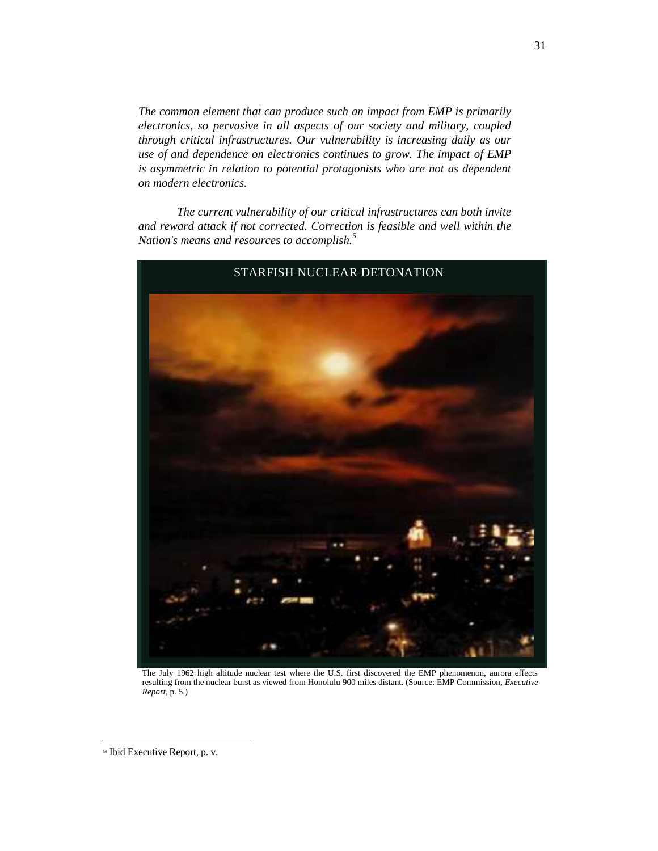*The common element that can produce such an impact from EMP is primarily electronics, so pervasive in all aspects of our society and military, coupled through critical infrastructures. Our vulnerability is increasing daily as our use of and dependence on electronics continues to grow. The impact of EMP is asymmetric in relation to potential protagonists who are not as dependent on modern electronics.*

*The current vulnerability of our critical infrastructures can both invite and reward attack if not corrected. Correction is feasible and well within the Nation's means and resources to accomplish.<sup>5</sup>*



The July 1962 high altitude nuclear test where the U.S. first discovered the EMP phenomenon, aurora effects resulting from the nuclear burst as viewed from Honolulu 900 miles distant. (Source: EMP Commission, *Executive Report,* p. 5.)

<sup>56</sup> Ibid Executive Report, p. v.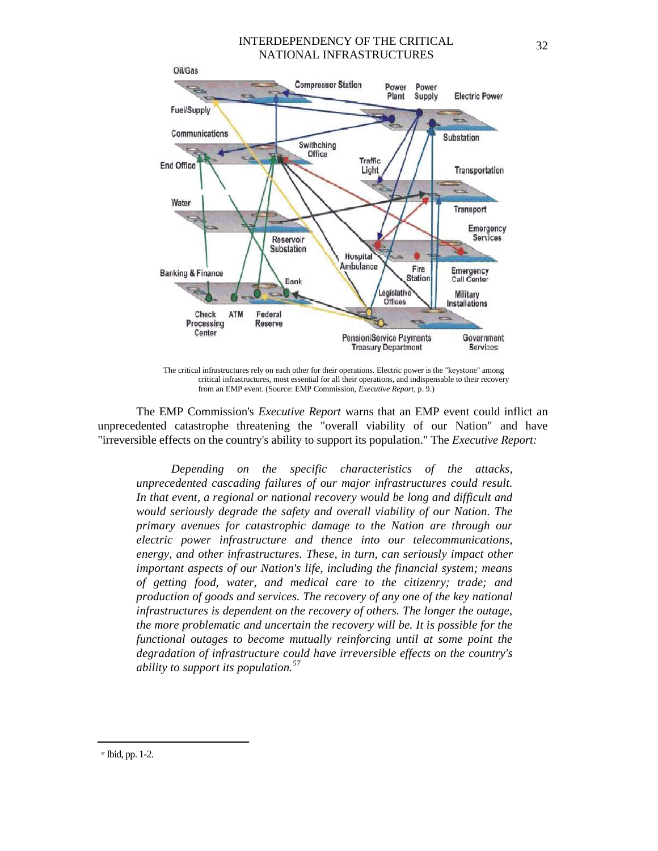## INTERDEPENDENCY OF THE CRITICAL 32 NATIONAL INFRASTRUCTURES



The critical infrastructures rely on each other for their operations. Electric power is the "keystone" among critical infrastructures, most essential for all their operations, and indispensable to their recovery from an EMP event. (Source: EMP Commission, *Executive Report,* p. 9.)

The EMP Commission's *Executive Report* warns that an EMP event could inflict an unprecedented catastrophe threatening the "overall viability of our Nation" and have "irreversible effects on the country's ability to support its population." The *Executive Report:*

*Depending on the specific characteristics of the attacks, unprecedented cascading failures of our major infrastructures could result. In that event, a regional or national recovery would be long and difficult and would seriously degrade the safety and overall viability of our Nation. The primary avenues for catastrophic damage to the Nation are through our electric power infrastructure and thence into our telecommunications, energy, and other infrastructures. These, in turn, can seriously impact other important aspects of our Nation's life, including the financial system; means of getting food, water, and medical care to the citizenry; trade; and production of goods and services. The recovery of any one of the key national infrastructures is dependent on the recovery of others. The longer the outage, the more problematic and uncertain the recovery will be. It is possible for the functional outages to become mutually reinforcing until at some point the degradation of infrastructure could have irreversible effects on the country's ability to support its population.<sup>57</sup>*

 $\overline{5}$  Ibid, pp. 1-2.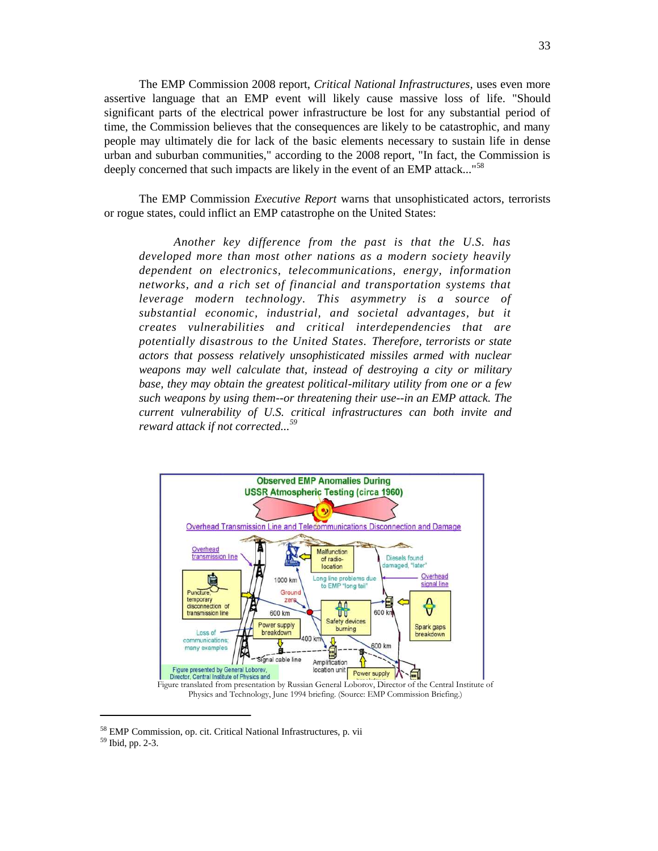The EMP Commission 2008 report, *Critical National Infrastructures,* uses even more assertive language that an EMP event will likely cause massive loss of life. "Should significant parts of the electrical power infrastructure be lost for any substantial period of time, the Commission believes that the consequences are likely to be catastrophic, and many people may ultimately die for lack of the basic elements necessary to sustain life in dense urban and suburban communities," according to the 2008 report, "In fact, the Commission is deeply concerned that such impacts are likely in the event of an EMP attack..."<sup>58</sup>

The EMP Commission *Executive Report* warns that unsophisticated actors, terrorists or rogue states, could inflict an EMP catastrophe on the United States:

*Another key difference from the past is that the U.S. has developed more than most other nations as a modern society heavily dependent on electronics, telecommunications, energy, information networks, and a rich set of financial and transportation systems that leverage modern technology. This asymmetry is a source of substantial economic, industrial, and societal advantages, but it creates vulnerabilities and critical interdependencies that are potentially disastrous to the United States. Therefore, terrorists or state actors that possess relatively unsophisticated missiles armed with nuclear weapons may well calculate that, instead of destroying a city or military base, they may obtain the greatest political-military utility from one or a few such weapons by using them--or threatening their use--in an EMP attack. The current vulnerability of U.S. critical infrastructures can both invite and reward attack if not corrected...<sup>59</sup>*



<sup>58</sup> EMP Commission, op. cit. Critical National Infrastructures, p. vii

<sup>59</sup> Ibid, pp. 2-3.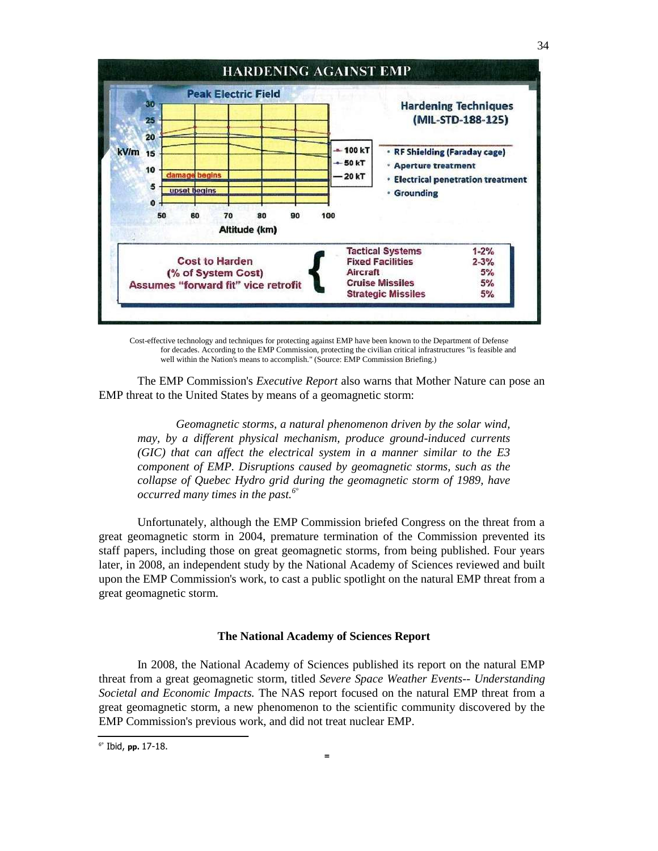

Cost-effective technology and techniques for protecting against EMP have been known to the Department of Defense for decades. According to the EMP Commission, protecting the civilian critical infrastructures "is feasible and well within the Nation's means to accomplish." (Source: EMP Commission Briefing.)

The EMP Commission's *Executive Report* also warns that Mother Nature can pose an EMP threat to the United States by means of a geomagnetic storm:

*Geomagnetic storms, a natural phenomenon driven by the solar wind, may, by a different physical mechanism, produce ground-induced currents (GIC) that can affect the electrical system in a manner similar to the E3 component of EMP. Disruptions caused by geomagnetic storms, such as the collapse of Quebec Hydro grid during the geomagnetic storm of 1989, have occurred many times in the past.6°*

Unfortunately, although the EMP Commission briefed Congress on the threat from a great geomagnetic storm in 2004, premature termination of the Commission prevented its staff papers, including those on great geomagnetic storms, from being published. Four years later, in 2008, an independent study by the National Academy of Sciences reviewed and built upon the EMP Commission's work, to cast a public spotlight on the natural EMP threat from a great geomagnetic storm.

#### **The National Academy of Sciences Report**

In 2008, the National Academy of Sciences published its report on the natural EMP threat from a great geomagnetic storm, titled *Severe Space Weather Events-- Understanding Societal and Economic Impacts.* The NAS report focused on the natural EMP threat from a great geomagnetic storm, a new phenomenon to the scientific community discovered by the EMP Commission's previous work, and did not treat nuclear EMP.

**=**

34

<sup>6°</sup> Ibid, **pp.** 17-18.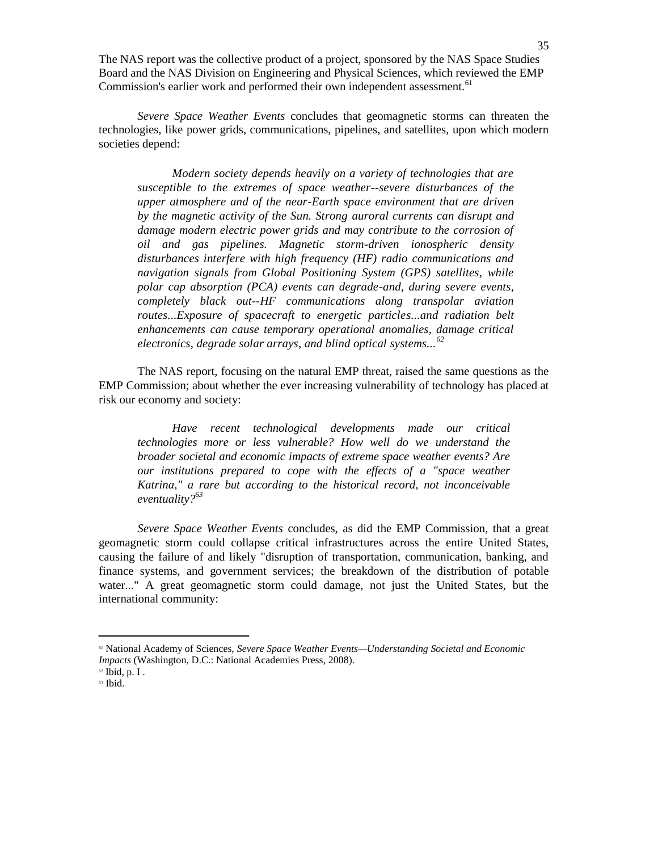The NAS report was the collective product of a project, sponsored by the NAS Space Studies Board and the NAS Division on Engineering and Physical Sciences, which reviewed the EMP Commission's earlier work and performed their own independent assessment.<sup>61</sup>

*Severe Space Weather Events* concludes that geomagnetic storms can threaten the technologies, like power grids, communications, pipelines, and satellites, upon which modern societies depend:

*Modern society depends heavily on a variety of technologies that are susceptible to the extremes of space weather--severe disturbances of the upper atmosphere and of the near-Earth space environment that are driven by the magnetic activity of the Sun. Strong auroral currents can disrupt and damage modern electric power grids and may contribute to the corrosion of oil and gas pipelines. Magnetic storm-driven ionospheric density disturbances interfere with high frequency (HF) radio communications and navigation signals from Global Positioning System (GPS) satellites, while polar cap absorption (PCA) events can degrade-and, during severe events, completely black out--HF communications along transpolar aviation routes...Exposure of spacecraft to energetic particles...and radiation belt enhancements can cause temporary operational anomalies, damage critical electronics, degrade solar arrays, and blind optical systems...<sup>62</sup>*

The NAS report, focusing on the natural EMP threat, raised the same questions as the EMP Commission; about whether the ever increasing vulnerability of technology has placed at risk our economy and society:

*Have recent technological developments made our critical technologies more or less vulnerable? How well do we understand the broader societal and economic impacts of extreme space weather events? Are our institutions prepared to cope with the effects of a "space weather Katrina," a rare but according to the historical record, not inconceivable eventuality?<sup>63</sup>*

*Severe Space Weather Events* concludes, as did the EMP Commission, that a great geomagnetic storm could collapse critical infrastructures across the entire United States, causing the failure of and likely "disruption of transportation, communication, banking, and finance systems, and government services; the breakdown of the distribution of potable water..." A great geomagnetic storm could damage, not just the United States, but the international community:

<sup>61</sup> National Academy of Sciences, *Severe Space Weather Events—Understanding Societal and Economic Impacts* (Washington, D.C.: National Academies Press, 2008).

 $62$  Ibid, p. I.

<sup>63</sup> Ibid.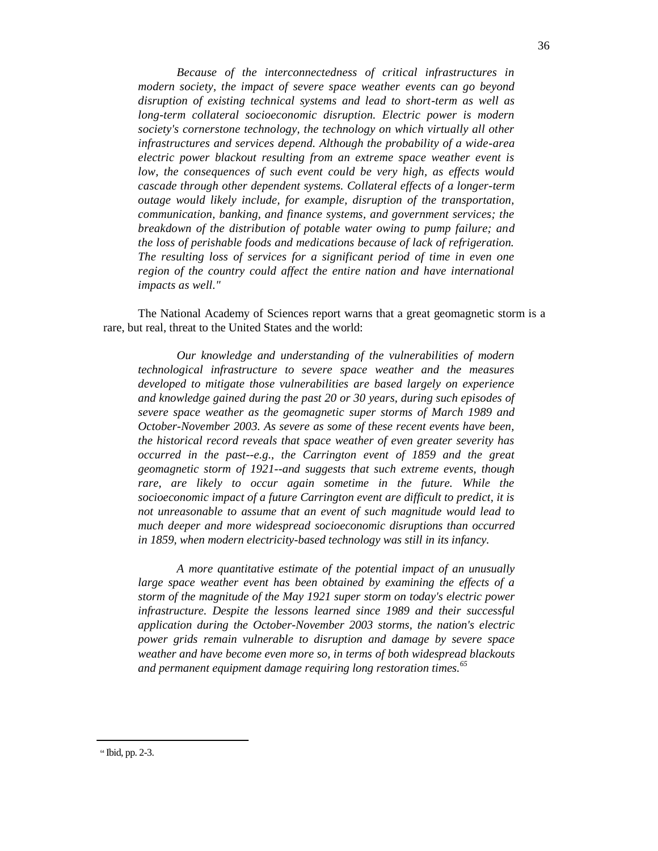*Because of the interconnectedness of critical infrastructures in modern society, the impact of severe space weather events can go beyond disruption of existing technical systems and lead to short-term as well as long-term collateral socioeconomic disruption. Electric power is modern society's cornerstone technology, the technology on which virtually all other infrastructures and services depend. Although the probability of a wide-area electric power blackout resulting from an extreme space weather event is*  low, the consequences of such event could be very high, as effects would *cascade through other dependent systems. Collateral effects of a longer-term outage would likely include, for example, disruption of the transportation, communication, banking, and finance systems, and government services; the breakdown of the distribution of potable water owing to pump failure; and the loss of perishable foods and medications because of lack of refrigeration. The resulting loss of services for a significant period of time in even one region of the country could affect the entire nation and have international impacts as well."*

The National Academy of Sciences report warns that a great geomagnetic storm is a rare, but real, threat to the United States and the world:

*Our knowledge and understanding of the vulnerabilities of modern technological infrastructure to severe space weather and the measures developed to mitigate those vulnerabilities are based largely on experience and knowledge gained during the past 20 or 30 years, during such episodes of severe space weather as the geomagnetic super storms of March 1989 and October-November 2003. As severe as some of these recent events have been, the historical record reveals that space weather of even greater severity has occurred in the past--e.g., the Carrington event of 1859 and the great geomagnetic storm of 1921--and suggests that such extreme events, though*  rare, are likely to occur again sometime in the future. While the *socioeconomic impact of a future Carrington event are difficult to predict, it is not unreasonable to assume that an event of such magnitude would lead to much deeper and more widespread socioeconomic disruptions than occurred in 1859, when modern electricity-based technology was still in its infancy.*

*A more quantitative estimate of the potential impact of an unusually large space weather event has been obtained by examining the effects of a storm of the magnitude of the May 1921 super storm on today's electric power infrastructure. Despite the lessons learned since 1989 and their successful application during the October-November 2003 storms, the nation's electric power grids remain vulnerable to disruption and damage by severe space weather and have become even more so, in terms of both widespread blackouts and permanent equipment damage requiring long restoration times.<sup>65</sup>*

 $64$  Ibid, pp. 2-3.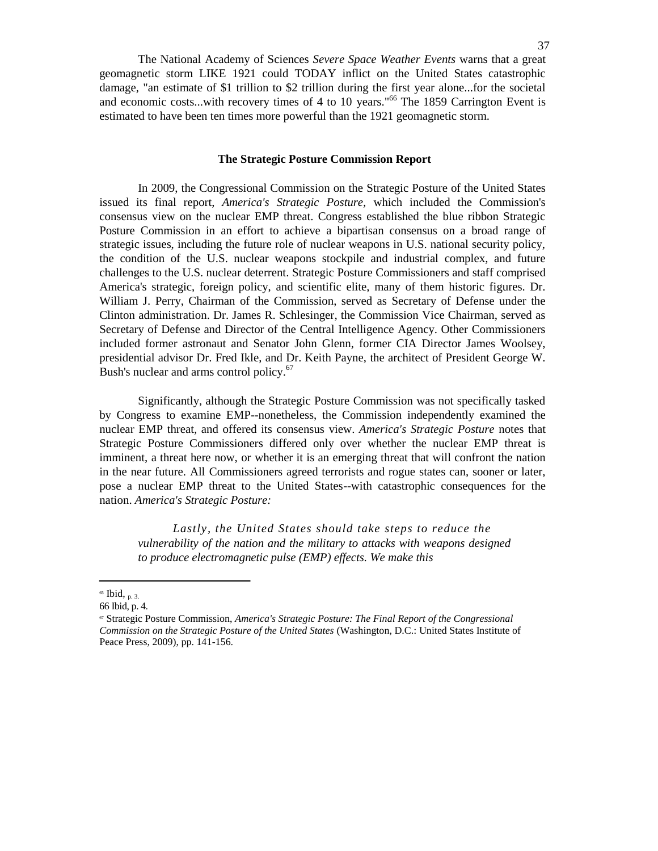The National Academy of Sciences *Severe Space Weather Events* warns that a great geomagnetic storm LIKE 1921 could TODAY inflict on the United States catastrophic damage, "an estimate of \$1 trillion to \$2 trillion during the first year alone...for the societal and economic costs...with recovery times of 4 to 10 years."<sup>66</sup> The 1859 Carrington Event is estimated to have been ten times more powerful than the 1921 geomagnetic storm.

## **The Strategic Posture Commission Report**

In 2009, the Congressional Commission on the Strategic Posture of the United States issued its final report, *America's Strategic Posture,* which included the Commission's consensus view on the nuclear EMP threat. Congress established the blue ribbon Strategic Posture Commission in an effort to achieve a bipartisan consensus on a broad range of strategic issues, including the future role of nuclear weapons in U.S. national security policy, the condition of the U.S. nuclear weapons stockpile and industrial complex, and future challenges to the U.S. nuclear deterrent. Strategic Posture Commissioners and staff comprised America's strategic, foreign policy, and scientific elite, many of them historic figures. Dr. William J. Perry, Chairman of the Commission, served as Secretary of Defense under the Clinton administration. Dr. James R. Schlesinger, the Commission Vice Chairman, served as Secretary of Defense and Director of the Central Intelligence Agency. Other Commissioners included former astronaut and Senator John Glenn, former CIA Director James Woolsey, presidential advisor Dr. Fred Ikle, and Dr. Keith Payne, the architect of President George W. Bush's nuclear and arms control policy.<sup>67</sup>

Significantly, although the Strategic Posture Commission was not specifically tasked by Congress to examine EMP--nonetheless, the Commission independently examined the nuclear EMP threat, and offered its consensus view. *America's Strategic Posture* notes that Strategic Posture Commissioners differed only over whether the nuclear EMP threat is imminent, a threat here now, or whether it is an emerging threat that will confront the nation in the near future. All Commissioners agreed terrorists and rogue states can, sooner or later, pose a nuclear EMP threat to the United States--with catastrophic consequences for the nation. *America's Strategic Posture:*

*Lastly, the United States should take steps to reduce the vulnerability of the nation and the military to attacks with weapons designed to produce electromagnetic pulse (EMP) effects. We make this*

 $65$  Ibid, p. 3.

<sup>66</sup> Ibid, p. 4.

<sup>67</sup> Strategic Posture Commission, *America's Strategic Posture: The Final Report of the Congressional Commission on the Strategic Posture of the United States* (Washington, D.C.: United States Institute of Peace Press, 2009), pp. 141-156.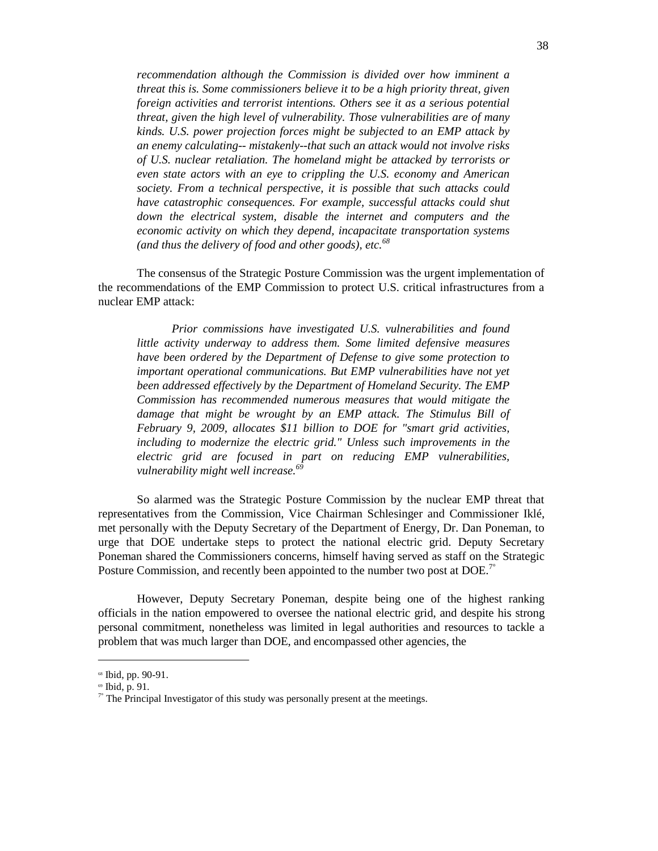*recommendation although the Commission is divided over how imminent a threat this is. Some commissioners believe it to be a high priority threat, given foreign activities and terrorist intentions. Others see it as a serious potential threat, given the high level of vulnerability. Those vulnerabilities are of many kinds. U.S. power projection forces might be subjected to an EMP attack by an enemy calculating-- mistakenly--that such an attack would not involve risks of U.S. nuclear retaliation. The homeland might be attacked by terrorists or even state actors with an eye to crippling the U.S. economy and American society. From a technical perspective, it is possible that such attacks could have catastrophic consequences. For example, successful attacks could shut down the electrical system, disable the internet and computers and the economic activity on which they depend, incapacitate transportation systems (and thus the delivery of food and other goods), etc.<sup>68</sup>*

The consensus of the Strategic Posture Commission was the urgent implementation of the recommendations of the EMP Commission to protect U.S. critical infrastructures from a nuclear EMP attack:

*Prior commissions have investigated U.S. vulnerabilities and found little activity underway to address them. Some limited defensive measures have been ordered by the Department of Defense to give some protection to important operational communications. But EMP vulnerabilities have not yet been addressed effectively by the Department of Homeland Security. The EMP Commission has recommended numerous measures that would mitigate the damage that might be wrought by an EMP attack. The Stimulus Bill of February 9, 2009, allocates \$11 billion to DOE for "smart grid activities, including to modernize the electric grid." Unless such improvements in the electric grid are focused in part on reducing EMP vulnerabilities, vulnerability might well increase.<sup>69</sup>*

So alarmed was the Strategic Posture Commission by the nuclear EMP threat that representatives from the Commission, Vice Chairman Schlesinger and Commissioner Iklé, met personally with the Deputy Secretary of the Department of Energy, Dr. Dan Poneman, to urge that DOE undertake steps to protect the national electric grid. Deputy Secretary Poneman shared the Commissioners concerns, himself having served as staff on the Strategic Posture Commission, and recently been appointed to the number two post at DOE.<sup>7°</sup>

However, Deputy Secretary Poneman, despite being one of the highest ranking officials in the nation empowered to oversee the national electric grid, and despite his strong personal commitment, nonetheless was limited in legal authorities and resources to tackle a problem that was much larger than DOE, and encompassed other agencies, the

<sup>68</sup> Ibid, pp. 90-91.

 $\degree$  Ibid, p. 91.

 $7^\circ$  The Principal Investigator of this study was personally present at the meetings.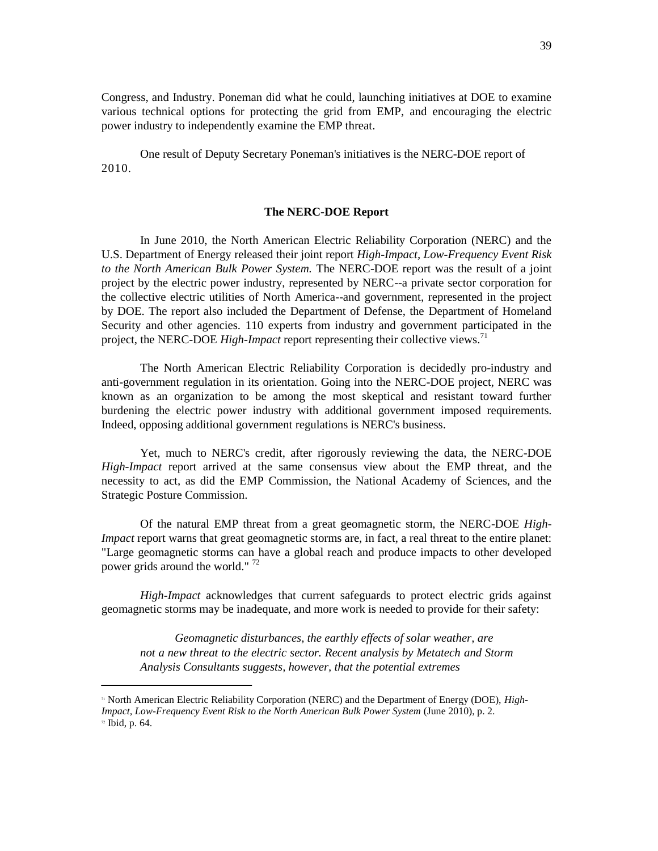Congress, and Industry. Poneman did what he could, launching initiatives at DOE to examine various technical options for protecting the grid from EMP, and encouraging the electric power industry to independently examine the EMP threat.

One result of Deputy Secretary Poneman's initiatives is the NERC-DOE report of 2010.

### **The NERC-DOE Report**

In June 2010, the North American Electric Reliability Corporation (NERC) and the U.S. Department of Energy released their joint report *High-Impact, Low-Frequency Event Risk to the North American Bulk Power System.* The NERC-DOE report was the result of a joint project by the electric power industry, represented by NERC--a private sector corporation for the collective electric utilities of North America--and government, represented in the project by DOE. The report also included the Department of Defense, the Department of Homeland Security and other agencies. 110 experts from industry and government participated in the project, the NERC-DOE *High-Impact* report representing their collective views.<sup>71</sup>

The North American Electric Reliability Corporation is decidedly pro-industry and anti-government regulation in its orientation. Going into the NERC-DOE project, NERC was known as an organization to be among the most skeptical and resistant toward further burdening the electric power industry with additional government imposed requirements. Indeed, opposing additional government regulations is NERC's business.

Yet, much to NERC's credit, after rigorously reviewing the data, the NERC-DOE *High-Impact* report arrived at the same consensus view about the EMP threat, and the necessity to act, as did the EMP Commission, the National Academy of Sciences, and the Strategic Posture Commission.

Of the natural EMP threat from a great geomagnetic storm, the NERC-DOE *High-Impact* report warns that great geomagnetic storms are, in fact, a real threat to the entire planet: "Large geomagnetic storms can have a global reach and produce impacts to other developed power grids around the world." <sup>72</sup>

*High-Impact* acknowledges that current safeguards to protect electric grids against geomagnetic storms may be inadequate, and more work is needed to provide for their safety:

*Geomagnetic disturbances, the earthly effects of solar weather, are not a new threat to the electric sector. Recent analysis by Metatech and Storm Analysis Consultants suggests, however, that the potential extremes*

<sup>71</sup> North American Electric Reliability Corporation (NERC) and the Department of Energy (DOE), *High-Impact, Low-Frequency Event Risk to the North American Bulk Power System (June 2010), p. 2.*  $n<sup>2</sup>$  Ibid, p. 64.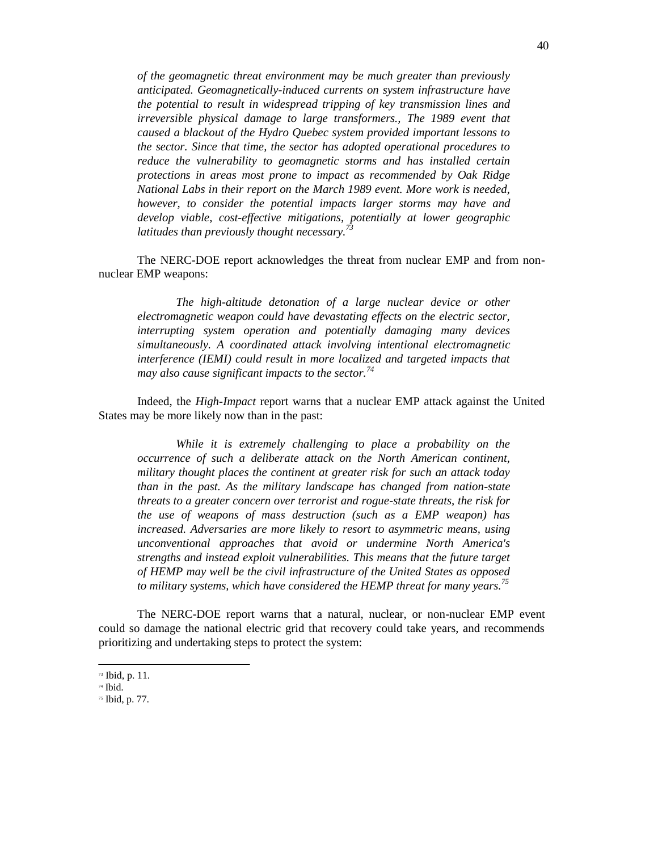*of the geomagnetic threat environment may be much greater than previously anticipated. Geomagnetically-induced currents on system infrastructure have the potential to result in widespread tripping of key transmission lines and irreversible physical damage to large transformers., The 1989 event that caused a blackout of the Hydro Quebec system provided important lessons to the sector. Since that time, the sector has adopted operational procedures to reduce the vulnerability to geomagnetic storms and has installed certain protections in areas most prone to impact as recommended by Oak Ridge National Labs in their report on the March 1989 event. More work is needed, however, to consider the potential impacts larger storms may have and develop viable, cost-effective mitigations, potentially at lower geographic latitudes than previously thought necessary.<sup>73</sup>*

The NERC-DOE report acknowledges the threat from nuclear EMP and from nonnuclear EMP weapons:

*The high-altitude detonation of a large nuclear device or other electromagnetic weapon could have devastating effects on the electric sector, interrupting system operation and potentially damaging many devices simultaneously. A coordinated attack involving intentional electromagnetic interference (IEMI) could result in more localized and targeted impacts that may also cause significant impacts to the sector.<sup>74</sup>*

Indeed, the *High-Impact* report warns that a nuclear EMP attack against the United States may be more likely now than in the past:

*While it is extremely challenging to place a probability on the occurrence of such a deliberate attack on the North American continent, military thought places the continent at greater risk for such an attack today than in the past. As the military landscape has changed from nation-state threats to a greater concern over terrorist and rogue-state threats, the risk for the use of weapons of mass destruction (such as a EMP weapon) has increased. Adversaries are more likely to resort to asymmetric means, using unconventional approaches that avoid or undermine North America's strengths and instead exploit vulnerabilities. This means that the future target of HEMP may well be the civil infrastructure of the United States as opposed to military systems, which have considered the HEMP threat for many years.<sup>75</sup>*

The NERC-DOE report warns that a natural, nuclear, or non-nuclear EMP event could so damage the national electric grid that recovery could take years, and recommends prioritizing and undertaking steps to protect the system:

<sup>73</sup> Ibid, p. 11.

<sup>74</sup> Ibid.

<sup>75</sup> Ibid, p. 77.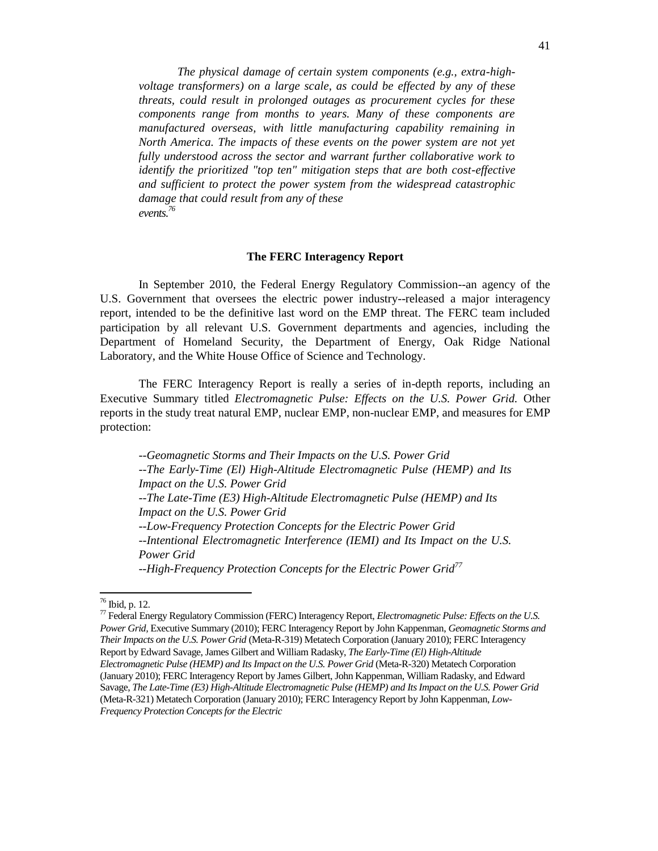*The physical damage of certain system components (e.g., extra-highvoltage transformers) on a large scale, as could be effected by any of these threats, could result in prolonged outages as procurement cycles for these components range from months to years. Many of these components are manufactured overseas, with little manufacturing capability remaining in North America. The impacts of these events on the power system are not yet fully understood across the sector and warrant further collaborative work to identify the prioritized "top ten" mitigation steps that are both cost-effective and sufficient to protect the power system from the widespread catastrophic damage that could result from any of these events.<sup>76</sup>*

### **The FERC Interagency Report**

In September 2010, the Federal Energy Regulatory Commission--an agency of the U.S. Government that oversees the electric power industry--released a major interagency report, intended to be the definitive last word on the EMP threat. The FERC team included participation by all relevant U.S. Government departments and agencies, including the Department of Homeland Security, the Department of Energy, Oak Ridge National Laboratory, and the White House Office of Science and Technology.

The FERC Interagency Report is really a series of in-depth reports, including an Executive Summary titled *Electromagnetic Pulse: Effects on the U.S. Power Grid.* Other reports in the study treat natural EMP, nuclear EMP, non-nuclear EMP, and measures for EMP protection:

*--Geomagnetic Storms and Their Impacts on the U.S. Power Grid --The Early-Time (El) High-Altitude Electromagnetic Pulse (HEMP) and Its Impact on the U.S. Power Grid --The Late-Time (E3) High-Altitude Electromagnetic Pulse (HEMP) and Its Impact on the U.S. Power Grid --Low-Frequency Protection Concepts for the Electric Power Grid --Intentional Electromagnetic Interference (IEMI) and Its Impact on the U.S. Power Grid --High-Frequency Protection Concepts for the Electric Power Grid<sup>77</sup>*

<sup>76</sup> Ibid, p. 12.

<sup>77</sup> Federal Energy Regulatory Commission (FERC) Interagency Report, *Electromagnetic Pulse: Effects on the U.S. Power Grid,* Executive Summary (2010); FERC Interagency Report by John Kappenman, *Geomagnetic Storms and Their Impacts on the U.S. Power Grid* (Meta-R-319) Metatech Corporation (January 2010); FERC Interagency Report by Edward Savage, James Gilbert and William Radasky, *The Early-Time (El) High-Altitude Electromagnetic Pulse (HEMP) and Its Impact on the U.S. Power Grid* (Meta-R-320) Metatech Corporation (January 2010); FERC Interagency Report by James Gilbert, John Kappenman, William Radasky, and Edward Savage, *The Late-Time (E3) High-Altitude Electromagnetic Pulse (HEMP) and Its Impact on the U.S. Power Grid*  (Meta-R-321) Metatech Corporation (January 2010); FERC Interagency Report by John Kappenman, *Low-Frequency Protection Concepts for the Electric*